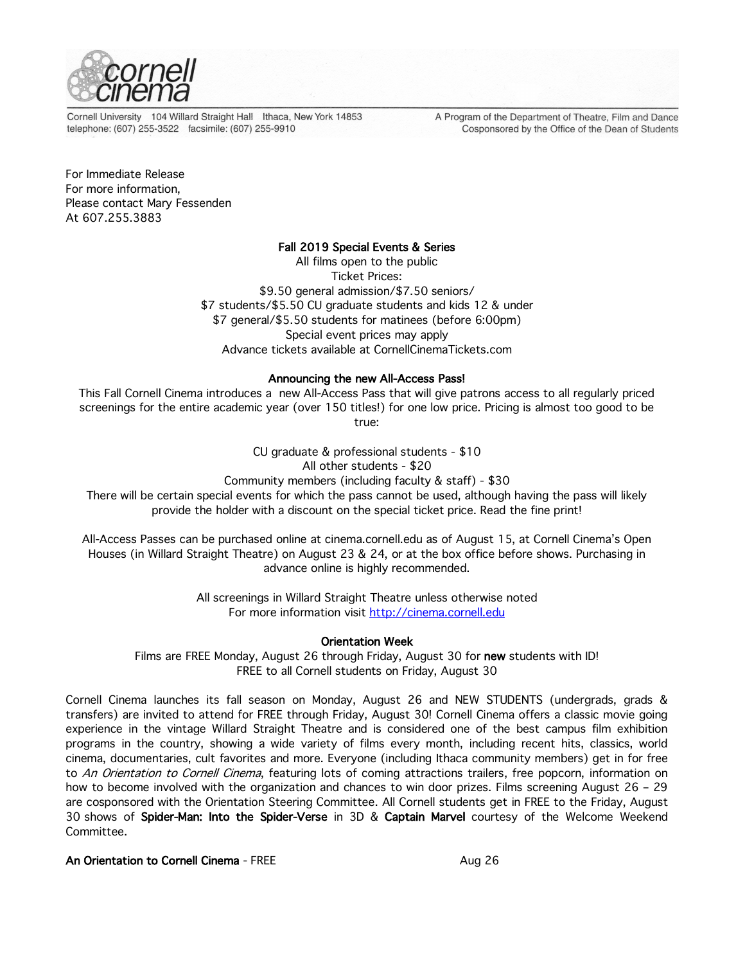

Cornell University 104 Willard Straight Hall Ithaca, New York 14853 telephone: (607) 255-3522 facsimile: (607) 255-9910

A Program of the Department of Theatre, Film and Dance Cosponsored by the Office of the Dean of Students

For Immediate Release For more information, Please contact Mary Fessenden At 607.255.3883

# Fall 2019 Special Events & Series

All films open to the public Ticket Prices: \$9.50 general admission/\$7.50 seniors/ \$7 students/\$5.50 CU graduate students and kids 12 & under \$7 general/\$5.50 students for matinees (before 6:00pm) Special event prices may apply Advance tickets available at CornellCinemaTickets.com

## Announcing the new All-Access Pass!

This Fall Cornell Cinema introduces a new All-Access Pass that will give patrons access to all regularly priced screenings for the entire academic year (over 150 titles!) for one low price. Pricing is almost too good to be true:

> CU graduate & professional students - \$10 All other students - \$20

Community members (including faculty & staff) - \$30

There will be certain special events for which the pass cannot be used, although having the pass will likely provide the holder with a discount on the special ticket price. Read the fine print!

All-Access Passes can be purchased online at cinema.cornell.edu as of August 15, at Cornell Cinema's Open Houses (in Willard Straight Theatre) on August 23 & 24, or at the box office before shows. Purchasing in advance online is highly recommended.

> All screenings in Willard Straight Theatre unless otherwise noted For more information visit http://cinema.cornell.edu

## Orientation Week

Films are FREE Monday, August 26 through Friday, August 30 for new students with ID! FREE to all Cornell students on Friday, August 30

Cornell Cinema launches its fall season on Monday, August 26 and NEW STUDENTS (undergrads, grads & transfers) are invited to attend for FREE through Friday, August 30! Cornell Cinema offers a classic movie going experience in the vintage Willard Straight Theatre and is considered one of the best campus film exhibition programs in the country, showing a wide variety of films every month, including recent hits, classics, world cinema, documentaries, cult favorites and more. Everyone (including Ithaca community members) get in for free to An Orientation to Cornell Cinema, featuring lots of coming attractions trailers, free popcorn, information on how to become involved with the organization and chances to win door prizes. Films screening August 26 - 29 are cosponsored with the Orientation Steering Committee. All Cornell students get in FREE to the Friday, August 30 shows of Spider-Man: Into the Spider-Verse in 3D & Captain Marvel courtesy of the Welcome Weekend Committee.

An Orientation to Cornell Cinema - FREE Aug 26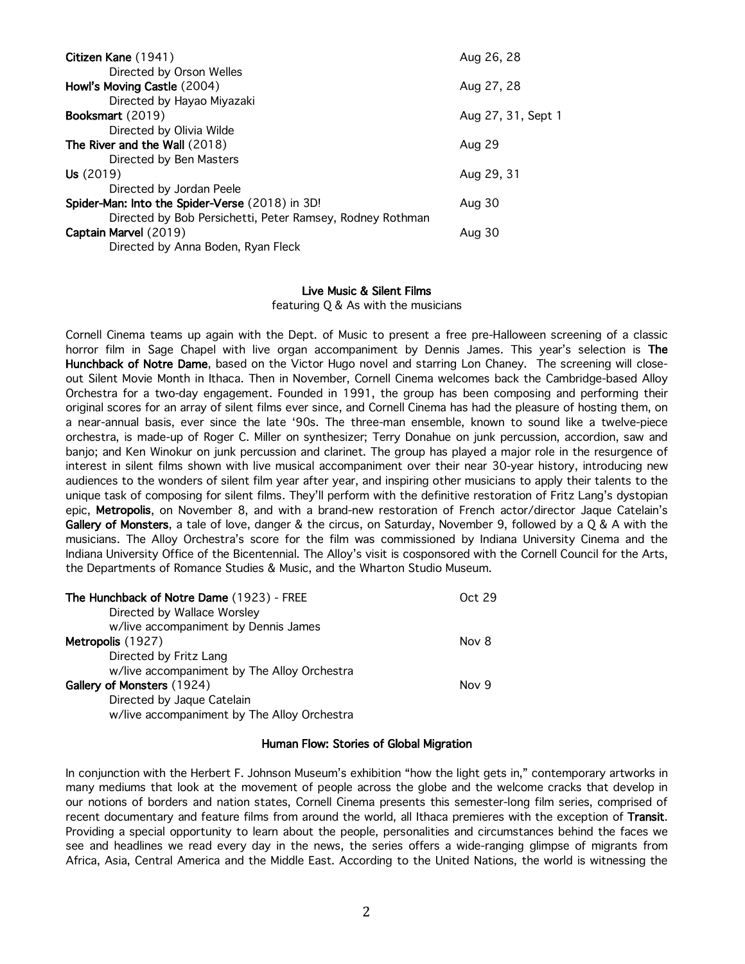| Citizen Kane (1941)                                       | Aug 26, 28         |
|-----------------------------------------------------------|--------------------|
| Directed by Orson Welles                                  |                    |
| Howl's Moving Castle (2004)                               | Aug 27, 28         |
| Directed by Hayao Miyazaki                                |                    |
| Booksmart (2019)                                          | Aug 27, 31, Sept 1 |
| Directed by Olivia Wilde                                  |                    |
| The River and the Wall (2018)                             | Aug 29             |
| Directed by Ben Masters                                   |                    |
| $Us$ (2019)                                               | Aug 29, 31         |
| Directed by Jordan Peele                                  |                    |
| Spider-Man: Into the Spider-Verse (2018) in 3D!           | Aug 30             |
| Directed by Bob Persichetti, Peter Ramsey, Rodney Rothman |                    |
| Captain Marvel (2019)                                     | Aug 30             |
| Directed by Anna Boden, Ryan Fleck                        |                    |

#### Live Music & Silent Films

featuring Q & As with the musicians

Cornell Cinema teams up again with the Dept. of Music to present a free pre-Halloween screening of a classic horror film in Sage Chapel with live organ accompaniment by Dennis James. This year's selection is The Hunchback of Notre Dame, based on the Victor Hugo novel and starring Lon Chaney. The screening will closeout Silent Movie Month in Ithaca. Then in November, Cornell Cinema welcomes back the Cambridge-based Alloy Orchestra for a two-day engagement. Founded in 1991, the group has been composing and performing their original scores for an array of silent films ever since, and Cornell Cinema has had the pleasure of hosting them, on a near-annual basis, ever since the late '90s. The three-man ensemble, known to sound like a twelve-piece orchestra, is made-up of Roger C. Miller on synthesizer; Terry Donahue on junk percussion, accordion, saw and banjo; and Ken Winokur on junk percussion and clarinet. The group has played a major role in the resurgence of interest in silent films shown with live musical accompaniment over their near 30-year history, introducing new audiences to the wonders of silent film year after year, and inspiring other musicians to apply their talents to the unique task of composing for silent films. They'll perform with the definitive restoration of Fritz Lang's dystopian epic, Metropolis, on November 8, and with a brand-new restoration of French actor/director Jaque Catelain's Gallery of Monsters, a tale of love, danger & the circus, on Saturday, November 9, followed by a Q & A with the musicians. The Alloy Orchestra's score for the film was commissioned by Indiana University Cinema and the Indiana University Office of the Bicentennial. The Alloy's visit is cosponsored with the Cornell Council for the Arts, the Departments of Romance Studies & Music, and the Wharton Studio Museum.

| The Hunchback of Notre Dame (1923) - FREE   | Oct 29 |
|---------------------------------------------|--------|
| Directed by Wallace Worsley                 |        |
| w/live accompaniment by Dennis James        |        |
| Metropolis (1927)                           | Nov 8  |
| Directed by Fritz Lang                      |        |
| w/live accompaniment by The Alloy Orchestra |        |
| Gallery of Monsters (1924)                  | Nov 9  |
| Directed by Jaque Catelain                  |        |
| w/live accompaniment by The Alloy Orchestra |        |

#### Human Flow: Stories of Global Migration

In conjunction with the Herbert F. Johnson Museum's exhibition "how the light gets in," contemporary artworks in many mediums that look at the movement of people across the globe and the welcome cracks that develop in our notions of borders and nation states, Cornell Cinema presents this semester-long film series, comprised of recent documentary and feature films from around the world, all Ithaca premieres with the exception of Transit. Providing a special opportunity to learn about the people, personalities and circumstances behind the faces we see and headlines we read every day in the news, the series offers a wide-ranging glimpse of migrants from Africa, Asia, Central America and the Middle East. According to the United Nations, the world is witnessing the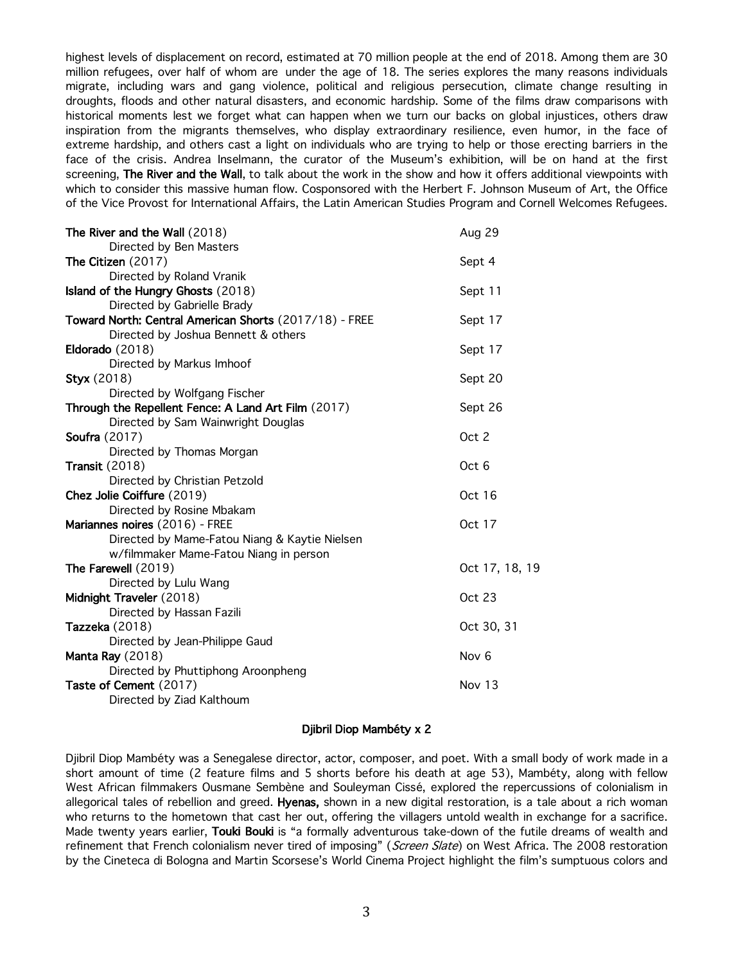highest levels of displacement on record, estimated at 70 million people at the end of 2018. Among them are 30 million refugees, over half of whom are under the age of 18. The series explores the many reasons individuals migrate, including wars and gang violence, political and religious persecution, climate change resulting in droughts, floods and other natural disasters, and economic hardship. Some of the films draw comparisons with historical moments lest we forget what can happen when we turn our backs on global injustices, others draw inspiration from the migrants themselves, who display extraordinary resilience, even humor, in the face of extreme hardship, and others cast a light on individuals who are trying to help or those erecting barriers in the face of the crisis. Andrea Inselmann, the curator of the Museum's exhibition, will be on hand at the first screening, The River and the Wall, to talk about the work in the show and how it offers additional viewpoints with which to consider this massive human flow. Cosponsored with the Herbert F. Johnson Museum of Art, the Office of the Vice Provost for International Affairs, the Latin American Studies Program and Cornell Welcomes Refugees.

| The River and the Wall (2018)                                     | Aug 29           |
|-------------------------------------------------------------------|------------------|
| Directed by Ben Masters                                           |                  |
| The Citizen (2017)                                                | Sept 4           |
| Directed by Roland Vranik                                         | Sept 11          |
| Island of the Hungry Ghosts (2018)<br>Directed by Gabrielle Brady |                  |
| Toward North: Central American Shorts (2017/18) - FREE            | Sept 17          |
| Directed by Joshua Bennett & others                               |                  |
| Eldorado (2018)                                                   | Sept 17          |
| Directed by Markus Imhoof                                         |                  |
| Styx (2018)                                                       | Sept 20          |
| Directed by Wolfgang Fischer                                      |                  |
| Through the Repellent Fence: A Land Art Film (2017)               | Sept 26          |
| Directed by Sam Wainwright Douglas                                |                  |
| Soufra (2017)                                                     | Oct 2            |
| Directed by Thomas Morgan                                         |                  |
| <b>Transit</b> (2018)                                             | Oct 6            |
| Directed by Christian Petzold                                     |                  |
| Chez Jolie Coiffure (2019)                                        | Oct 16           |
| Directed by Rosine Mbakam                                         |                  |
| Mariannes noires (2016) - FREE                                    | Oct 17           |
| Directed by Mame-Fatou Niang & Kaytie Nielsen                     |                  |
| w/filmmaker Mame-Fatou Niang in person                            |                  |
| The Farewell (2019)                                               | Oct 17, 18, 19   |
| Directed by Lulu Wang                                             |                  |
| Midnight Traveler (2018)                                          | <b>Oct 23</b>    |
| Directed by Hassan Fazili                                         |                  |
| Tazzeka (2018)                                                    | Oct 30, 31       |
| Directed by Jean-Philippe Gaud                                    |                  |
| Manta Ray (2018)                                                  | Nov <sub>6</sub> |
| Directed by Phuttiphong Aroonpheng                                |                  |
| Taste of Cement (2017)                                            | Nov $13$         |
| Directed by Ziad Kalthoum                                         |                  |

#### Djibril Diop Mambéty x 2

Djibril Diop Mambéty was a Senegalese director, actor, composer, and poet. With a small body of work made in a short amount of time (2 feature films and 5 shorts before his death at age 53), Mambéty, along with fellow West African filmmakers Ousmane Sembène and Souleyman Cissé, explored the repercussions of colonialism in allegorical tales of rebellion and greed. Hyenas, shown in a new digital restoration, is a tale about a rich woman who returns to the hometown that cast her out, offering the villagers untold wealth in exchange for a sacrifice. Made twenty years earlier, Touki Bouki is "a formally adventurous take-down of the futile dreams of wealth and refinement that French colonialism never tired of imposing" (Screen Slate) on West Africa. The 2008 restoration by the Cineteca di Bologna and Martin Scorsese's World Cinema Project highlight the film's sumptuous colors and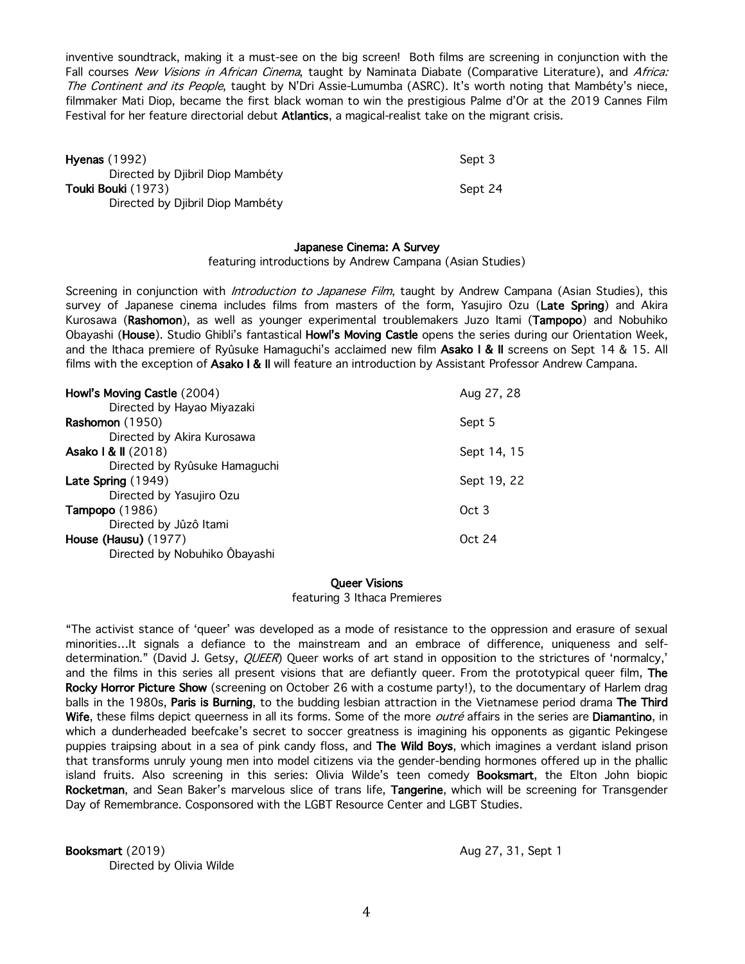inventive soundtrack, making it a must-see on the big screen! Both films are screening in conjunction with the Fall courses New Visions in African Cinema, taught by Naminata Diabate (Comparative Literature), and Africa: The Continent and its People, taught by N'Dri Assie-Lumumba (ASRC). It's worth noting that Mambéty's niece, filmmaker Mati Diop, became the first black woman to win the prestigious Palme d'Or at the 2019 Cannes Film Festival for her feature directorial debut Atlantics, a magical-realist take on the migrant crisis.

| Hyenas $(1992)$                  | Sept 3  |
|----------------------------------|---------|
| Directed by Djibril Diop Mambéty |         |
| Touki Bouki (1973)               | Sept 24 |
| Directed by Djibril Diop Mambéty |         |

#### Japanese Cinema: A Survey

featuring introductions by Andrew Campana (Asian Studies)

Screening in conjunction with *Introduction to Japanese Film*, taught by Andrew Campana (Asian Studies), this survey of Japanese cinema includes films from masters of the form, Yasujiro Ozu (Late Spring) and Akira Kurosawa (Rashomon), as well as younger experimental troublemakers Juzo Itami (Tampopo) and Nobuhiko Obayashi (House). Studio Ghibli's fantastical Howl's Moving Castle opens the series during our Orientation Week, and the Ithaca premiere of Ryûsuke Hamaguchi's acclaimed new film Asako I & II screens on Sept 14 & 15. All films with the exception of Asako I & II will feature an introduction by Assistant Professor Andrew Campana.

| Howl's Moving Castle (2004)   | Aug 27, 28  |
|-------------------------------|-------------|
| Directed by Hayao Miyazaki    |             |
| <b>Rashomon</b> (1950)        | Sept 5      |
| Directed by Akira Kurosawa    |             |
| Asako I & II (2018)           | Sept 14, 15 |
| Directed by Ryûsuke Hamaguchi |             |
| Late Spring (1949)            | Sept 19, 22 |
| Directed by Yasujiro Ozu      |             |
| <b>Tampopo</b> (1986)         | Oct 3       |
| Directed by Jûzô Itami        |             |
| <b>House (Hausu)</b> (1977)   | Oct 24      |
| Directed by Nobuhiko Obayashi |             |

#### Queer Visions

#### featuring 3 Ithaca Premieres

"The activist stance of 'queer' was developed as a mode of resistance to the oppression and erasure of sexual minorities…It signals a defiance to the mainstream and an embrace of difference, uniqueness and selfdetermination." (David J. Getsy, *QUEER*) Queer works of art stand in opposition to the strictures of 'normalcy,' and the films in this series all present visions that are defiantly queer. From the prototypical queer film, The Rocky Horror Picture Show (screening on October 26 with a costume party!), to the documentary of Harlem drag balls in the 1980s, Paris is Burning, to the budding lesbian attraction in the Vietnamese period drama The Third Wife, these films depict queerness in all its forms. Some of the more outré affairs in the series are Diamantino, in which a dunderheaded beefcake's secret to soccer greatness is imagining his opponents as gigantic Pekingese puppies traipsing about in a sea of pink candy floss, and The Wild Boys, which imagines a verdant island prison that transforms unruly young men into model citizens via the gender-bending hormones offered up in the phallic island fruits. Also screening in this series: Olivia Wilde's teen comedy Booksmart, the Elton John biopic Rocketman, and Sean Baker's marvelous slice of trans life, Tangerine, which will be screening for Transgender Day of Remembrance. Cosponsored with the LGBT Resource Center and LGBT Studies.

Booksmart (2019) **Booksmart (2019) Aug 27, 31, Sept 1** Directed by Olivia Wilde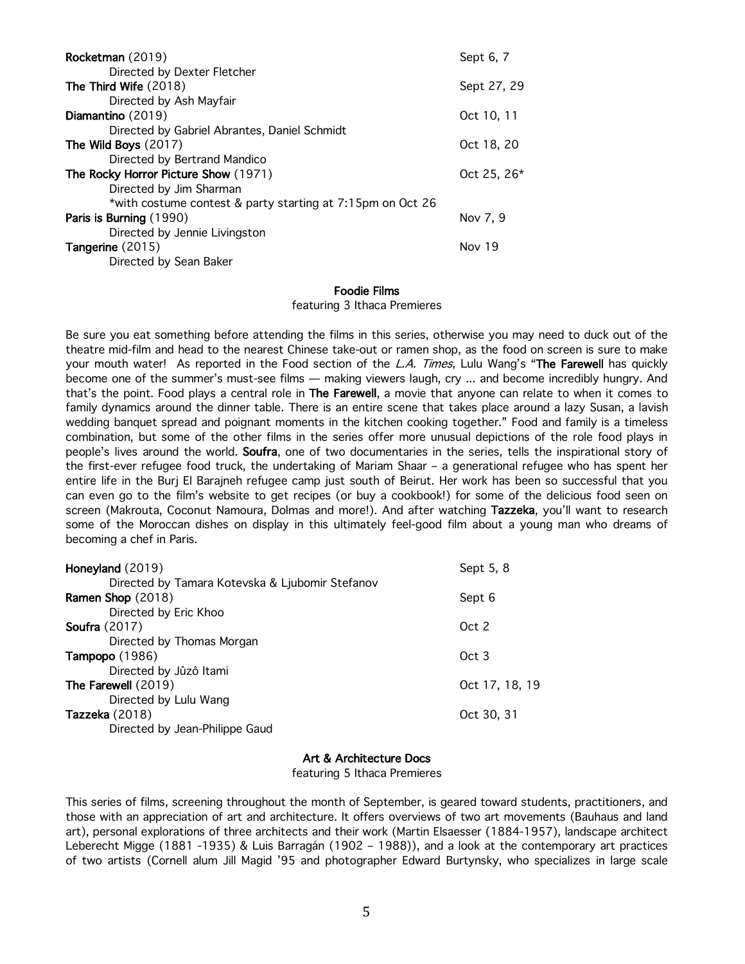| Rocketman (2019)                                           | Sept 6, 7   |
|------------------------------------------------------------|-------------|
| Directed by Dexter Fletcher                                |             |
| The Third Wife (2018)                                      | Sept 27, 29 |
| Directed by Ash Mayfair                                    |             |
| Diamantino (2019)                                          | Oct 10, 11  |
| Directed by Gabriel Abrantes, Daniel Schmidt               |             |
| The Wild Boys (2017)                                       | Oct 18, 20  |
| Directed by Bertrand Mandico                               |             |
| The Rocky Horror Picture Show (1971)                       | Oct 25, 26* |
| Directed by Jim Sharman                                    |             |
| *with costume contest & party starting at 7:15pm on Oct 26 |             |
| Paris is Burning (1990)                                    | Nov 7, 9    |
| Directed by Jennie Livingston                              |             |
| Tangerine (2015)                                           | Nov 19      |
| Directed by Sean Baker                                     |             |
|                                                            |             |

#### Foodie Films

featuring 3 Ithaca Premieres

Be sure you eat something before attending the films in this series, otherwise you may need to duck out of the theatre mid-film and head to the nearest Chinese take-out or ramen shop, as the food on screen is sure to make your mouth water! As reported in the Food section of the L.A. Times, Lulu Wang's "The Farewell has quickly become one of the summer's must-see films — making viewers laugh, cry ... and become incredibly hungry. And that's the point. Food plays a central role in The Farewell, a movie that anyone can relate to when it comes to family dynamics around the dinner table. There is an entire scene that takes place around a lazy Susan, a lavish wedding banquet spread and poignant moments in the kitchen cooking together." Food and family is a timeless combination, but some of the other films in the series offer more unusual depictions of the role food plays in people's lives around the world. Soufra, one of two documentaries in the series, tells the inspirational story of the first-ever refugee food truck, the undertaking of Mariam Shaar – a generational refugee who has spent her entire life in the Burj El Barajneh refugee camp just south of Beirut. Her work has been so successful that you can even go to the film's website to get recipes (or buy a cookbook!) for some of the delicious food seen on screen (Makrouta, Coconut Namoura, Dolmas and more!). And after watching Tazzeka, you'll want to research some of the Moroccan dishes on display in this ultimately feel-good film about a young man who dreams of becoming a chef in Paris.

| Honeyland (2019)                                | Sept 5, 8      |
|-------------------------------------------------|----------------|
| Directed by Tamara Kotevska & Ljubomir Stefanov |                |
| Ramen Shop (2018)                               | Sept 6         |
| Directed by Eric Khoo                           |                |
| <b>Soufra</b> (2017)                            | Oct 2          |
| Directed by Thomas Morgan                       |                |
| <b>Tampopo</b> (1986)                           | Oct 3          |
| Directed by Jûzô Itami                          |                |
| The Farewell (2019)                             | Oct 17, 18, 19 |
| Directed by Lulu Wang                           |                |
| Tazzeka (2018)                                  | Oct 30, 31     |
| Directed by Jean-Philippe Gaud                  |                |
|                                                 |                |

#### Art & Architecture Docs

featuring 5 Ithaca Premieres

This series of films, screening throughout the month of September, is geared toward students, practitioners, and those with an appreciation of art and architecture. It offers overviews of two art movements (Bauhaus and land art), personal explorations of three architects and their work (Martin Elsaesser (1884-1957), landscape architect Leberecht Migge (1881 -1935) & Luis Barragán (1902 – 1988)), and a look at the contemporary art practices of two artists (Cornell alum Jill Magid '95 and photographer Edward Burtynsky, who specializes in large scale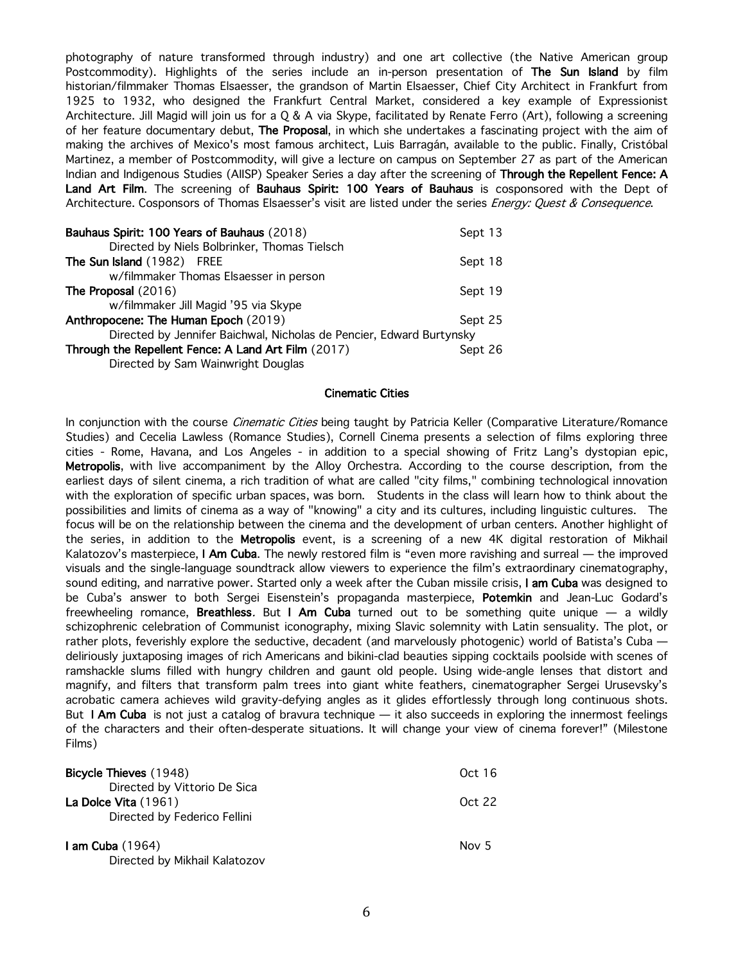photography of nature transformed through industry) and one art collective (the Native American group Postcommodity). Highlights of the series include an in-person presentation of The Sun Island by film historian/filmmaker Thomas Elsaesser, the grandson of Martin Elsaesser, Chief City Architect in Frankfurt from 1925 to 1932, who designed the Frankfurt Central Market, considered a key example of Expressionist Architecture. Jill Magid will join us for a Q & A via Skype, facilitated by Renate Ferro (Art), following a screening of her feature documentary debut, The Proposal, in which she undertakes a fascinating project with the aim of making the archives of Mexico's most famous architect, Luis Barragán, available to the public. Finally, Cristóbal Martinez, a member of Postcommodity, will give a lecture on campus on September 27 as part of the American Indian and Indigenous Studies (AIISP) Speaker Series a day after the screening of Through the Repellent Fence: A Land Art Film. The screening of Bauhaus Spirit: 100 Years of Bauhaus is cosponsored with the Dept of Architecture. Cosponsors of Thomas Elsaesser's visit are listed under the series *Energy: Quest & Consequence*.

| Bauhaus Spirit: 100 Years of Bauhaus (2018)                          | Sept 13 |
|----------------------------------------------------------------------|---------|
| Directed by Niels Bolbrinker, Thomas Tielsch                         |         |
| The Sun Island (1982) FREE                                           | Sept 18 |
| w/filmmaker Thomas Elsaesser in person                               |         |
| The Proposal $(2016)$                                                | Sept 19 |
| w/filmmaker Jill Magid '95 via Skype                                 |         |
| Anthropocene: The Human Epoch (2019)                                 | Sept 25 |
| Directed by Jennifer Baichwal, Nicholas de Pencier, Edward Burtynsky |         |
| Through the Repellent Fence: A Land Art Film (2017)                  | Sept 26 |
| Directed by Sam Wainwright Douglas                                   |         |

#### Cinematic Cities

In conjunction with the course Cinematic Cities being taught by Patricia Keller (Comparative Literature/Romance Studies) and Cecelia Lawless (Romance Studies), Cornell Cinema presents a selection of films exploring three cities - Rome, Havana, and Los Angeles - in addition to a special showing of Fritz Lang's dystopian epic, Metropolis, with live accompaniment by the Alloy Orchestra. According to the course description, from the earliest days of silent cinema, a rich tradition of what are called "city films," combining technological innovation with the exploration of specific urban spaces, was born. Students in the class will learn how to think about the possibilities and limits of cinema as a way of "knowing" a city and its cultures, including linguistic cultures. The focus will be on the relationship between the cinema and the development of urban centers. Another highlight of the series, in addition to the Metropolis event, is a screening of a new 4K digital restoration of Mikhail Kalatozov's masterpiece, I Am Cuba. The newly restored film is "even more ravishing and surreal — the improved visuals and the single-language soundtrack allow viewers to experience the film's extraordinary cinematography, sound editing, and narrative power. Started only a week after the Cuban missile crisis, I am Cuba was designed to be Cuba's answer to both Sergei Eisenstein's propaganda masterpiece, Potemkin and Jean-Luc Godard's freewheeling romance, **Breathless**. But I Am Cuba turned out to be something quite unique  $-$  a wildly schizophrenic celebration of Communist iconography, mixing Slavic solemnity with Latin sensuality. The plot, or rather plots, feverishly explore the seductive, decadent (and marvelously photogenic) world of Batista's Cuba deliriously juxtaposing images of rich Americans and bikini-clad beauties sipping cocktails poolside with scenes of ramshackle slums filled with hungry children and gaunt old people. Using wide-angle lenses that distort and magnify, and filters that transform palm trees into giant white feathers, cinematographer Sergei Urusevsky's acrobatic camera achieves wild gravity-defying angles as it glides effortlessly through long continuous shots. But I Am Cuba is not just a catalog of bravura technique — it also succeeds in exploring the innermost feelings of the characters and their often-desperate situations. It will change your view of cinema forever!" (Milestone Films)

| Bicycle Thieves (1948)                                                               | Oct 16   |
|--------------------------------------------------------------------------------------|----------|
| Directed by Vittorio De Sica<br>La Dolce Vita (1961)<br>Directed by Federico Fellini | Oct $22$ |
| I am Cuba $(1964)$<br>Directed by Mikhail Kalatozov                                  | Nov $5$  |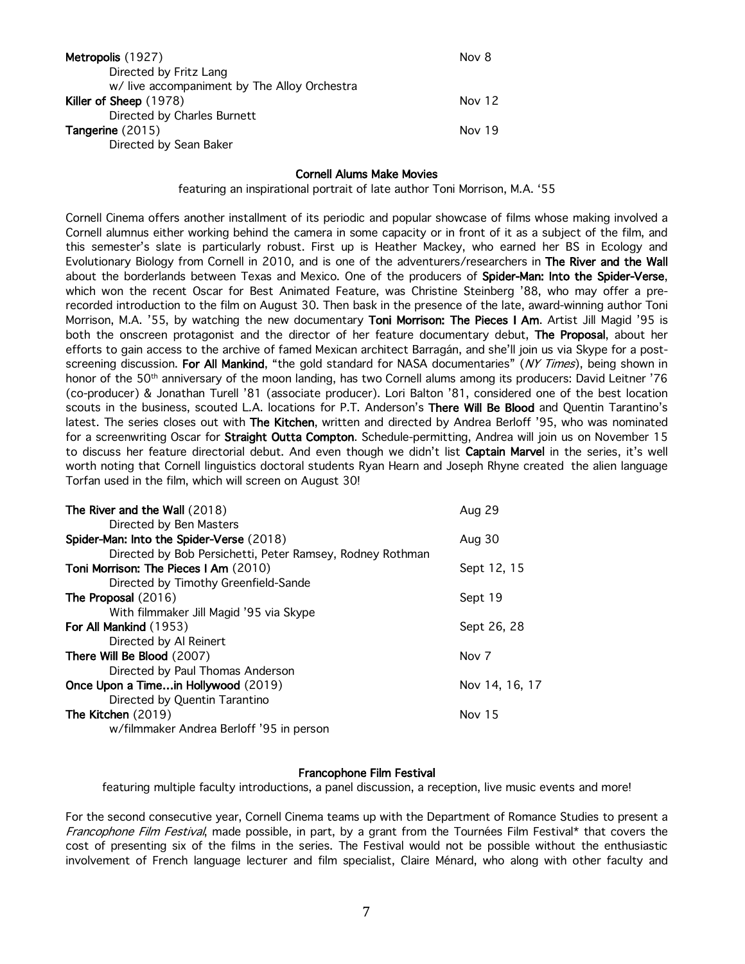| Metropolis (1927)                            | Nov 8  |
|----------------------------------------------|--------|
| Directed by Fritz Lang                       |        |
| w/ live accompaniment by The Alloy Orchestra |        |
| Killer of Sheep (1978)                       | Nov 12 |
| Directed by Charles Burnett                  |        |
| <b>Tangerine</b> $(2015)$                    | Nov 19 |
| Directed by Sean Baker                       |        |

#### Cornell Alums Make Movies

featuring an inspirational portrait of late author Toni Morrison, M.A. '55

Cornell Cinema offers another installment of its periodic and popular showcase of films whose making involved a Cornell alumnus either working behind the camera in some capacity or in front of it as a subject of the film, and this semester's slate is particularly robust. First up is Heather Mackey, who earned her BS in Ecology and Evolutionary Biology from Cornell in 2010, and is one of the adventurers/researchers in The River and the Wall about the borderlands between Texas and Mexico. One of the producers of Spider-Man: Into the Spider-Verse. which won the recent Oscar for Best Animated Feature, was Christine Steinberg '88, who may offer a prerecorded introduction to the film on August 30. Then bask in the presence of the late, award-winning author Toni Morrison, M.A. '55, by watching the new documentary Toni Morrison: The Pieces I Am. Artist Jill Magid '95 is both the onscreen protagonist and the director of her feature documentary debut, The Proposal, about her efforts to gain access to the archive of famed Mexican architect Barragán, and she'll join us via Skype for a postscreening discussion. For All Mankind, "the gold standard for NASA documentaries" (NY Times), being shown in honor of the 50<sup>th</sup> anniversary of the moon landing, has two Cornell alums among its producers: David Leitner '76 (co-producer) & Jonathan Turell '81 (associate producer). Lori Balton '81, considered one of the best location scouts in the business, scouted L.A. locations for P.T. Anderson's There Will Be Blood and Quentin Tarantino's latest. The series closes out with The Kitchen, written and directed by Andrea Berloff '95, who was nominated for a screenwriting Oscar for Straight Outta Compton. Schedule-permitting, Andrea will join us on November 15 to discuss her feature directorial debut. And even though we didn't list Captain Marvel in the series, it's well worth noting that Cornell linguistics doctoral students Ryan Hearn and Joseph Rhyne created the alien language Torfan used in the film, which will screen on August 30!

| The River and the Wall (2018)                             | Aug 29         |
|-----------------------------------------------------------|----------------|
| Directed by Ben Masters                                   |                |
| Spider-Man: Into the Spider-Verse (2018)                  | Aug 30         |
| Directed by Bob Persichetti, Peter Ramsey, Rodney Rothman |                |
| Toni Morrison: The Pieces I Am (2010)                     | Sept 12, 15    |
| Directed by Timothy Greenfield-Sande                      |                |
| The Proposal (2016)                                       | Sept 19        |
| With filmmaker Jill Magid '95 via Skype                   |                |
| For All Mankind (1953)                                    | Sept 26, 28    |
| Directed by Al Reinert                                    |                |
| There Will Be Blood (2007)                                | Nov 7          |
| Directed by Paul Thomas Anderson                          |                |
| Once Upon a Timein Hollywood (2019)                       | Nov 14, 16, 17 |
| Directed by Quentin Tarantino                             |                |
| The Kitchen (2019)                                        | <b>Nov 15</b>  |
| w/filmmaker Andrea Berloff '95 in person                  |                |
|                                                           |                |

## Francophone Film Festival

featuring multiple faculty introductions, a panel discussion, a reception, live music events and more!

For the second consecutive year, Cornell Cinema teams up with the Department of Romance Studies to present a Francophone Film Festival, made possible, in part, by a grant from the Tournées Film Festival\* that covers the cost of presenting six of the films in the series. The Festival would not be possible without the enthusiastic involvement of French language lecturer and film specialist, Claire Ménard, who along with other faculty and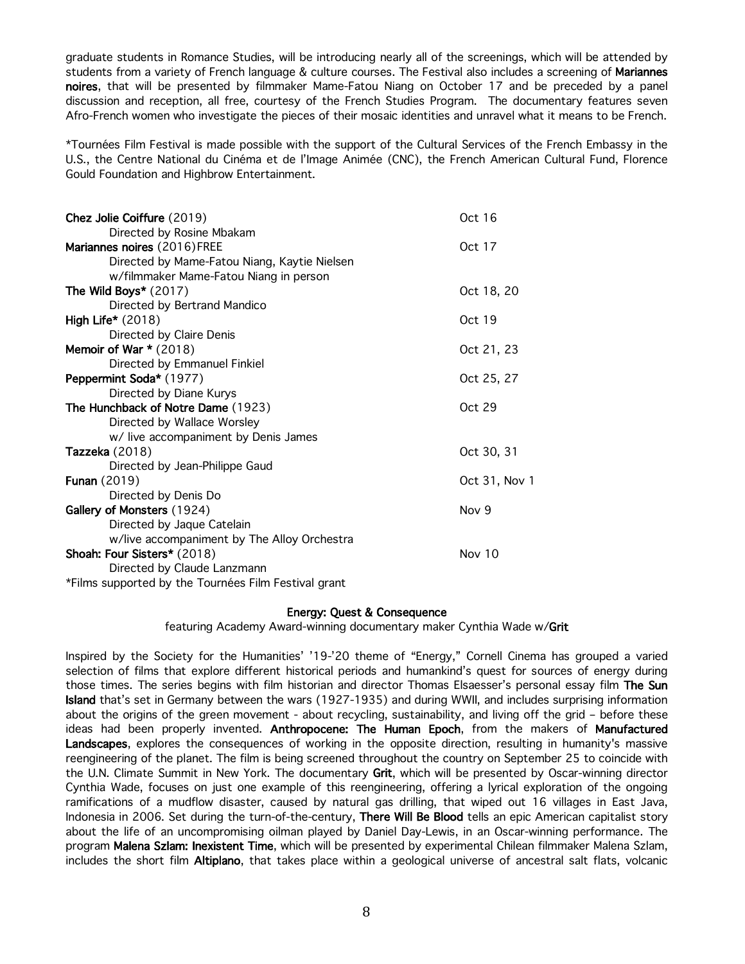graduate students in Romance Studies, will be introducing nearly all of the screenings, which will be attended by students from a variety of French language & culture courses. The Festival also includes a screening of Mariannes noires, that will be presented by filmmaker Mame-Fatou Niang on October 17 and be preceded by a panel discussion and reception, all free, courtesy of the French Studies Program. The documentary features seven Afro-French women who investigate the pieces of their mosaic identities and unravel what it means to be French.

\*Tournées Film Festival is made possible with the support of the Cultural Services of the French Embassy in the U.S., the Centre National du Cinéma et de l'Image Animée (CNC), the French American Cultural Fund, Florence Gould Foundation and Highbrow Entertainment.

| Chez Jolie Coiffure (2019)                           | Oct 16        |
|------------------------------------------------------|---------------|
| Directed by Rosine Mbakam                            |               |
| Mariannes noires (2016)FREE                          | Oct 17        |
| Directed by Mame-Fatou Niang, Kaytie Nielsen         |               |
| w/filmmaker Mame-Fatou Niang in person               |               |
| The Wild Boys $*(2017)$                              | Oct 18, 20    |
| Directed by Bertrand Mandico                         |               |
| High Life $*(2018)$                                  | Oct 19        |
| Directed by Claire Denis                             |               |
| Memoir of War $*$ (2018)                             | Oct 21, 23    |
| Directed by Emmanuel Finkiel                         |               |
| Peppermint Soda* (1977)                              | Oct 25, 27    |
| Directed by Diane Kurys                              |               |
| The Hunchback of Notre Dame (1923)                   | Oct 29        |
| Directed by Wallace Worsley                          |               |
| w/ live accompaniment by Denis James                 |               |
| <b>Tazzeka</b> (2018)                                | Oct 30, 31    |
| Directed by Jean-Philippe Gaud                       |               |
| <b>Funan</b> (2019)                                  | Oct 31, Nov 1 |
| Directed by Denis Do                                 |               |
| Gallery of Monsters (1924)                           | Nov 9         |
| Directed by Jaque Catelain                           |               |
| w/live accompaniment by The Alloy Orchestra          |               |
| Shoah: Four Sisters* (2018)                          | <b>Nov 10</b> |
| Directed by Claude Lanzmann                          |               |
| *Films supported by the Tournées Film Festival grant |               |

## Energy: Quest & Consequence

featuring Academy Award-winning documentary maker Cynthia Wade w/Grit

Inspired by the Society for the Humanities' '19-'20 theme of "Energy," Cornell Cinema has grouped a varied selection of films that explore different historical periods and humankind's quest for sources of energy during those times. The series begins with film historian and director Thomas Elsaesser's personal essay film The Sun Island that's set in Germany between the wars (1927-1935) and during WWII, and includes surprising information about the origins of the green movement - about recycling, sustainability, and living off the grid – before these ideas had been properly invented. Anthropocene: The Human Epoch, from the makers of Manufactured Landscapes, explores the consequences of working in the opposite direction, resulting in humanity's massive reengineering of the planet. The film is being screened throughout the country on September 25 to coincide with the U.N. Climate Summit in New York. The documentary Grit, which will be presented by Oscar-winning director Cynthia Wade, focuses on just one example of this reengineering, offering a lyrical exploration of the ongoing ramifications of a mudflow disaster, caused by natural gas drilling, that wiped out 16 villages in East Java, Indonesia in 2006. Set during the turn-of-the-century, There Will Be Blood tells an epic American capitalist story about the life of an uncompromising oilman played by Daniel Day-Lewis, in an Oscar-winning performance. The program Malena Szlam: Inexistent Time, which will be presented by experimental Chilean filmmaker Malena Szlam, includes the short film Altiplano, that takes place within a geological universe of ancestral salt flats, volcanic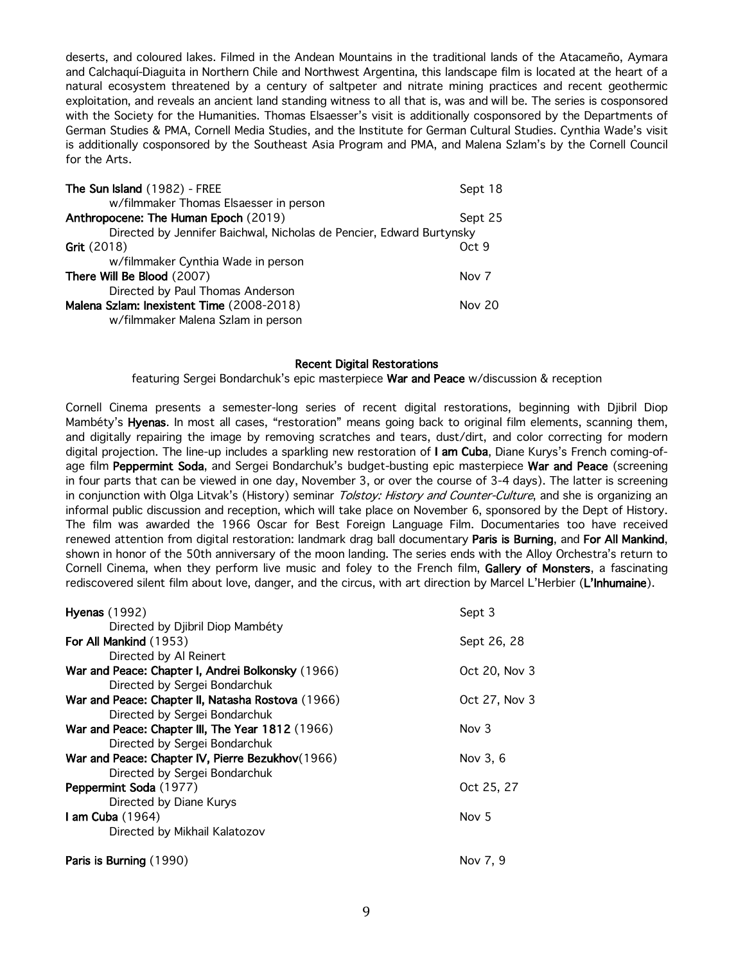deserts, and coloured lakes. Filmed in the Andean Mountains in the traditional lands of the Atacameño, Aymara and Calchaquí-Diaguita in Northern Chile and Northwest Argentina, this landscape film is located at the heart of a natural ecosystem threatened by a century of saltpeter and nitrate mining practices and recent geothermic exploitation, and reveals an ancient land standing witness to all that is, was and will be. The series is cosponsored with the Society for the Humanities. Thomas Elsaesser's visit is additionally cosponsored by the Departments of German Studies & PMA, Cornell Media Studies, and the Institute for German Cultural Studies. Cynthia Wade's visit is additionally cosponsored by the Southeast Asia Program and PMA, and Malena Szlam's by the Cornell Council for the Arts.

| The Sun Island (1982) - FREE                                         | Sept 18       |
|----------------------------------------------------------------------|---------------|
| w/filmmaker Thomas Elsaesser in person                               |               |
| Anthropocene: The Human Epoch (2019)                                 | Sept 25       |
| Directed by Jennifer Baichwal, Nicholas de Pencier, Edward Burtynsky |               |
| Grit (2018)                                                          | Oct 9         |
| w/filmmaker Cynthia Wade in person                                   |               |
| There Will Be Blood (2007)                                           | Nov 7         |
| Directed by Paul Thomas Anderson                                     |               |
| Malena Szlam: Inexistent Time (2008-2018)                            | <b>Nov 20</b> |
| w/filmmaker Malena Szlam in person                                   |               |

#### Recent Digital Restorations

featuring Sergei Bondarchuk's epic masterpiece War and Peace w/discussion & reception

Cornell Cinema presents a semester-long series of recent digital restorations, beginning with Djibril Diop Mambéty's Hyenas. In most all cases, "restoration" means going back to original film elements, scanning them, and digitally repairing the image by removing scratches and tears, dust/dirt, and color correcting for modern digital projection. The line-up includes a sparkling new restoration of I am Cuba, Diane Kurys's French coming-ofage film Peppermint Soda, and Sergei Bondarchuk's budget-busting epic masterpiece War and Peace (screening in four parts that can be viewed in one day, November 3, or over the course of 3-4 days). The latter is screening in conjunction with Olga Litvak's (History) seminar Tolstoy: History and Counter-Culture, and she is organizing an informal public discussion and reception, which will take place on November 6, sponsored by the Dept of History. The film was awarded the 1966 Oscar for Best Foreign Language Film. Documentaries too have received renewed attention from digital restoration: landmark drag ball documentary Paris is Burning, and For All Mankind, shown in honor of the 50th anniversary of the moon landing. The series ends with the Alloy Orchestra's return to Cornell Cinema, when they perform live music and foley to the French film, Gallery of Monsters, a fascinating rediscovered silent film about love, danger, and the circus, with art direction by Marcel L'Herbier (L'Inhumaine).

| Hyenas $(1992)$                                   | Sept 3           |
|---------------------------------------------------|------------------|
| Directed by Djibril Diop Mambéty                  |                  |
| For All Mankind (1953)                            | Sept 26, 28      |
| Directed by Al Reinert                            |                  |
| War and Peace: Chapter I, Andrei Bolkonsky (1966) | Oct 20, Nov 3    |
| Directed by Sergei Bondarchuk                     |                  |
| War and Peace: Chapter II, Natasha Rostova (1966) | Oct 27, Nov 3    |
| Directed by Sergei Bondarchuk                     |                  |
| War and Peace: Chapter III, The Year 1812 (1966)  | Nov 3            |
| Directed by Sergei Bondarchuk                     |                  |
| War and Peace: Chapter IV, Pierre Bezukhov(1966)  | Nov 3, 6         |
| Directed by Sergei Bondarchuk                     |                  |
| Peppermint Soda (1977)                            | Oct 25, 27       |
| Directed by Diane Kurys                           |                  |
| I am Cuba $(1964)$                                | Nov <sub>5</sub> |
| Directed by Mikhail Kalatozov                     |                  |
| Paris is Burning (1990)                           | Nov 7, 9         |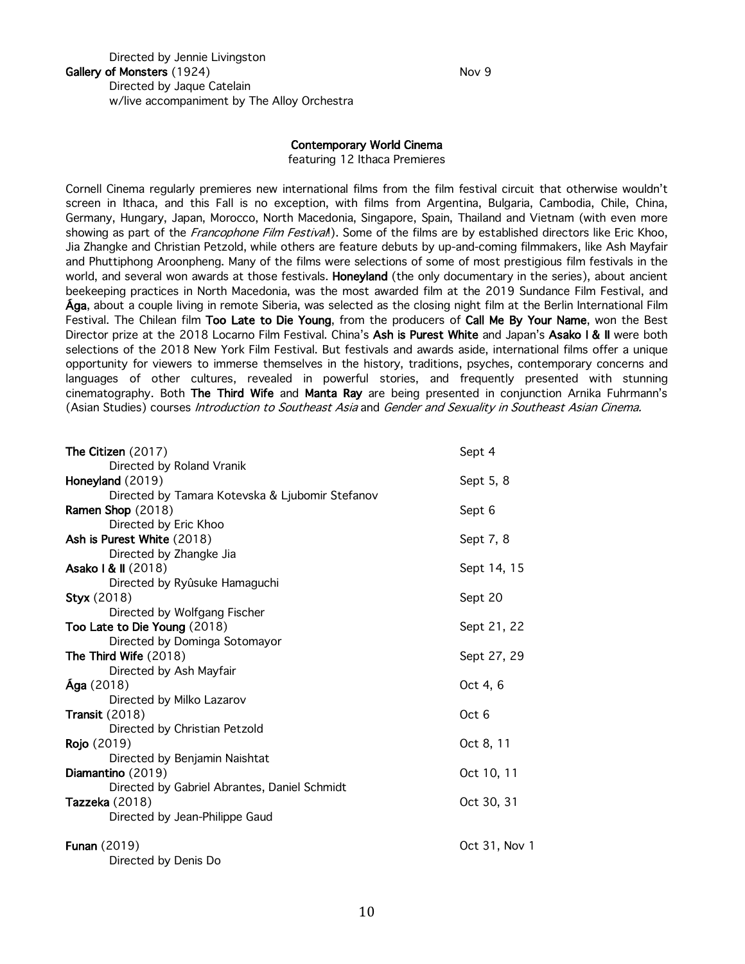Directed by Jennie Livingston Gallery of Monsters (1924) Nov 9 Directed by Jaque Catelain w/live accompaniment by The Alloy Orchestra

#### Contemporary World Cinema

featuring 12 Ithaca Premieres

Cornell Cinema regularly premieres new international films from the film festival circuit that otherwise wouldn't screen in Ithaca, and this Fall is no exception, with films from Argentina, Bulgaria, Cambodia, Chile, China, Germany, Hungary, Japan, Morocco, North Macedonia, Singapore, Spain, Thailand and Vietnam (with even more showing as part of the Francophone Film Festival. Some of the films are by established directors like Eric Khoo, Jia Zhangke and Christian Petzold, while others are feature debuts by up-and-coming filmmakers, like Ash Mayfair and Phuttiphong Aroonpheng. Many of the films were selections of some of most prestigious film festivals in the world, and several won awards at those festivals. Honeyland (the only documentary in the series), about ancient beekeeping practices in North Macedonia, was the most awarded film at the 2019 Sundance Film Festival, and Ága, about a couple living in remote Siberia, was selected as the closing night film at the Berlin International Film Festival. The Chilean film Too Late to Die Young, from the producers of Call Me By Your Name, won the Best Director prize at the 2018 Locarno Film Festival. China's Ash is Purest White and Japan's Asako I & II were both selections of the 2018 New York Film Festival. But festivals and awards aside, international films offer a unique opportunity for viewers to immerse themselves in the history, traditions, psyches, contemporary concerns and languages of other cultures, revealed in powerful stories, and frequently presented with stunning cinematography. Both The Third Wife and Manta Ray are being presented in conjunction Arnika Fuhrmann's (Asian Studies) courses Introduction to Southeast Asia and Gender and Sexuality in Southeast Asian Cinema.

| The Citizen (2017)                              | Sept 4        |
|-------------------------------------------------|---------------|
| Directed by Roland Vranik                       |               |
| Honeyland (2019)                                | Sept 5, 8     |
| Directed by Tamara Kotevska & Ljubomir Stefanov |               |
| Ramen Shop (2018)                               | Sept 6        |
| Directed by Eric Khoo                           |               |
| Ash is Purest White (2018)                      | Sept 7, 8     |
| Directed by Zhangke Jia                         |               |
| <b>Asako   &amp;   </b> (2018)                  | Sept 14, 15   |
| Directed by Ryûsuke Hamaguchi                   |               |
| <b>Styx</b> (2018)                              | Sept 20       |
| Directed by Wolfgang Fischer                    |               |
| Too Late to Die Young (2018)                    | Sept 21, 22   |
| Directed by Dominga Sotomayor                   |               |
| The Third Wife (2018)                           | Sept 27, 29   |
| Directed by Ash Mayfair                         |               |
| Ága (2018)                                      | Oct 4, 6      |
| Directed by Milko Lazarov                       |               |
| <b>Transit</b> (2018)                           | Oct 6         |
| Directed by Christian Petzold                   |               |
| <b>Rojo</b> (2019)                              | Oct 8, 11     |
| Directed by Benjamin Naishtat                   |               |
| Diamantino (2019)                               | Oct 10, 11    |
| Directed by Gabriel Abrantes, Daniel Schmidt    |               |
| Tazzeka (2018)                                  | Oct 30, 31    |
| Directed by Jean-Philippe Gaud                  |               |
| <b>Funan</b> (2019)                             | Oct 31, Nov 1 |
| Directed by Denis Do                            |               |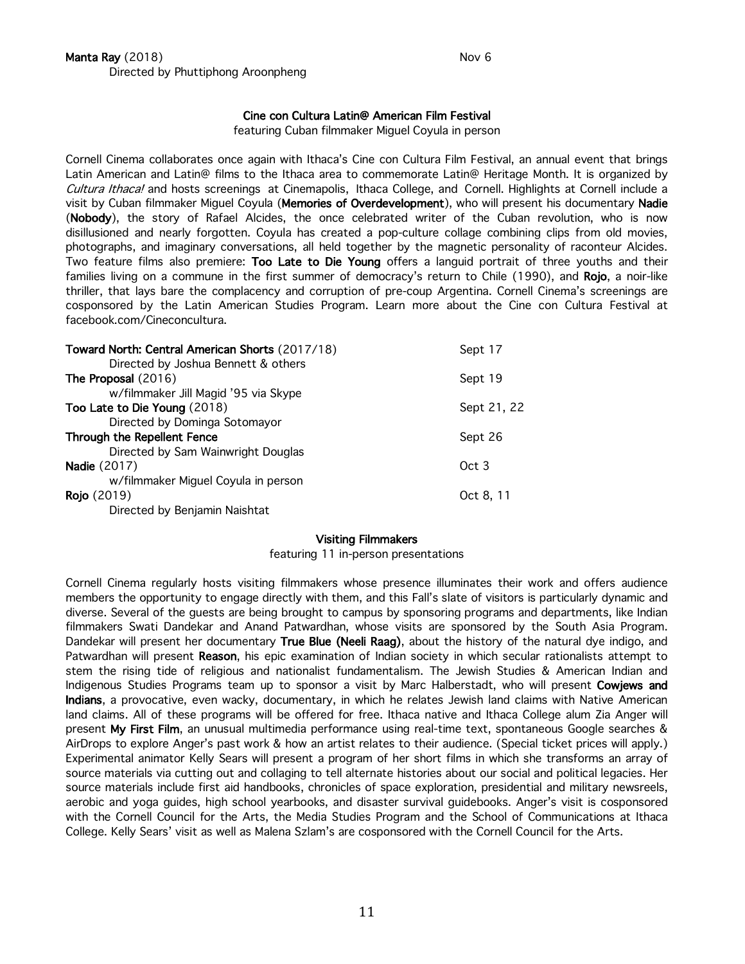## Cine con Cultura Latin@ American Film Festival

featuring Cuban filmmaker Miguel Coyula in person

Cornell Cinema collaborates once again with Ithaca's Cine con Cultura Film Festival, an annual event that brings Latin American and Latin@ films to the Ithaca area to commemorate Latin@ Heritage Month. It is organized by Cultura Ithaca! and hosts screenings at Cinemapolis, Ithaca College, and Cornell. Highlights at Cornell include a visit by Cuban filmmaker Miguel Coyula (Memories of Overdevelopment), who will present his documentary Nadie (Nobody), the story of Rafael Alcides, the once celebrated writer of the Cuban revolution, who is now disillusioned and nearly forgotten. Coyula has created a pop-culture collage combining clips from old movies, photographs, and imaginary conversations, all held together by the magnetic personality of raconteur Alcides. Two feature films also premiere: Too Late to Die Young offers a languid portrait of three youths and their families living on a commune in the first summer of democracy's return to Chile (1990), and Rojo, a noir-like thriller, that lays bare the complacency and corruption of pre-coup Argentina. Cornell Cinema's screenings are cosponsored by the Latin American Studies Program. Learn more about the Cine con Cultura Festival at facebook.com/Cineconcultura.

| Sept 17     |
|-------------|
|             |
| Sept 19     |
|             |
| Sept 21, 22 |
|             |
| Sept 26     |
|             |
| Oct 3       |
|             |
| Oct 8, 11   |
|             |
|             |

## Visiting Filmmakers

featuring 11 in-person presentations

Cornell Cinema regularly hosts visiting filmmakers whose presence illuminates their work and offers audience members the opportunity to engage directly with them, and this Fall's slate of visitors is particularly dynamic and diverse. Several of the guests are being brought to campus by sponsoring programs and departments, like Indian filmmakers Swati Dandekar and Anand Patwardhan, whose visits are sponsored by the South Asia Program. Dandekar will present her documentary True Blue (Neeli Raag), about the history of the natural dye indigo, and Patwardhan will present Reason, his epic examination of Indian society in which secular rationalists attempt to stem the rising tide of religious and nationalist fundamentalism. The Jewish Studies & American Indian and Indigenous Studies Programs team up to sponsor a visit by Marc Halberstadt, who will present Cowjews and Indians, a provocative, even wacky, documentary, in which he relates Jewish land claims with Native American land claims. All of these programs will be offered for free. Ithaca native and Ithaca College alum Zia Anger will present My First Film, an unusual multimedia performance using real-time text, spontaneous Google searches & AirDrops to explore Anger's past work & how an artist relates to their audience. (Special ticket prices will apply.) Experimental animator Kelly Sears will present a program of her short films in which she transforms an array of source materials via cutting out and collaging to tell alternate histories about our social and political legacies. Her source materials include first aid handbooks, chronicles of space exploration, presidential and military newsreels, aerobic and yoga guides, high school yearbooks, and disaster survival guidebooks. Anger's visit is cosponsored with the Cornell Council for the Arts, the Media Studies Program and the School of Communications at Ithaca College. Kelly Sears' visit as well as Malena Szlam's are cosponsored with the Cornell Council for the Arts.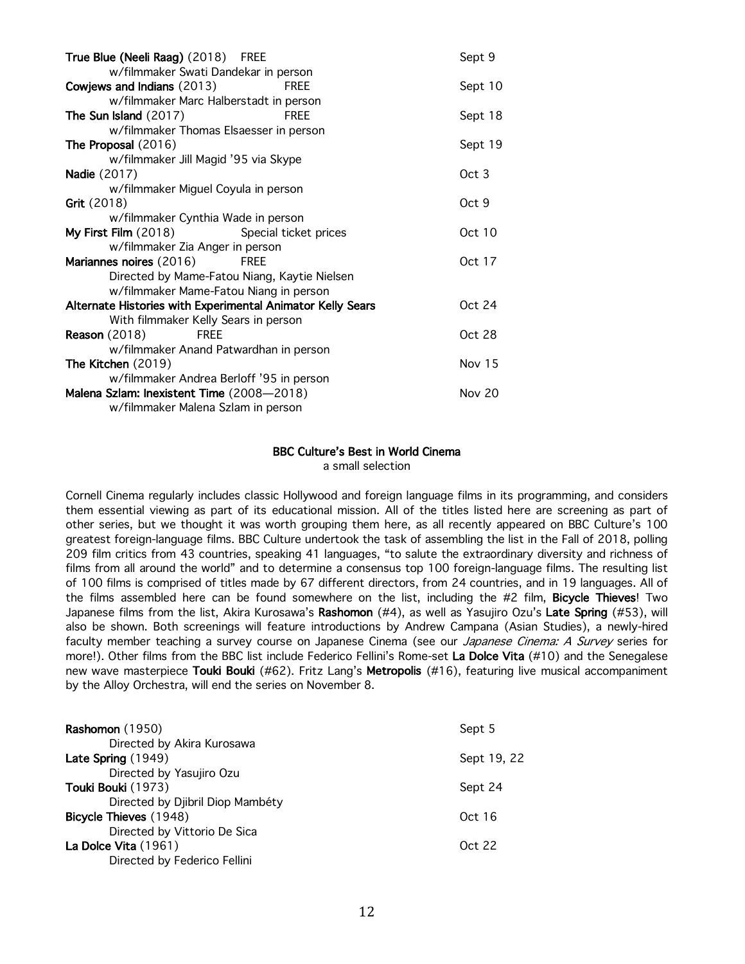| True Blue (Neeli Raag) (2018) FREE                         | Sept 9        |
|------------------------------------------------------------|---------------|
| w/filmmaker Swati Dandekar in person                       |               |
| Cowjews and Indians (2013)<br><b>FREE</b>                  | Sept 10       |
| w/filmmaker Marc Halberstadt in person                     |               |
| The Sun Island $(2017)$<br><b>FREE</b>                     | Sept 18       |
| w/filmmaker Thomas Elsaesser in person                     |               |
| The Proposal (2016)                                        | Sept 19       |
| w/filmmaker Jill Magid '95 via Skype                       |               |
| <b>Nadie</b> (2017)                                        | Oct 3         |
| w/filmmaker Miguel Coyula in person                        |               |
| Grit $(2018)$                                              | Oct 9         |
| w/filmmaker Cynthia Wade in person                         |               |
| My First Film (2018) Special ticket prices                 | Oct 10        |
| w/filmmaker Zia Anger in person                            |               |
| Mariannes noires (2016)<br><b>FREE</b>                     | Oct 17        |
| Directed by Mame-Fatou Niang, Kaytie Nielsen               |               |
| w/filmmaker Mame-Fatou Niang in person                     |               |
| Alternate Histories with Experimental Animator Kelly Sears | Oct 24        |
| With filmmaker Kelly Sears in person                       |               |
| Reason $(2018)$<br><b>FRFF</b>                             | Oct 28        |
| w/filmmaker Anand Patwardhan in person                     |               |
| The Kitchen $(2019)$                                       | <b>Nov 15</b> |
| w/filmmaker Andrea Berloff '95 in person                   |               |
| Malena Szlam: Inexistent Time (2008-2018)                  | Nov 20        |
| w/filmmaker Malena Szlam in person                         |               |

## BBC Culture's Best in World Cinema

a small selection

Cornell Cinema regularly includes classic Hollywood and foreign language films in its programming, and considers them essential viewing as part of its educational mission. All of the titles listed here are screening as part of other series, but we thought it was worth grouping them here, as all recently appeared on BBC Culture's 100 greatest foreign-language films. BBC Culture undertook the task of assembling the list in the Fall of 2018, polling 209 film critics from 43 countries, speaking 41 languages, "to salute the extraordinary diversity and richness of films from all around the world" and to determine a consensus top 100 foreign-language films. The resulting list of 100 films is comprised of titles made by 67 different directors, from 24 countries, and in 19 languages. All of the films assembled here can be found somewhere on the list, including the #2 film, Bicycle Thieves! Two Japanese films from the list, Akira Kurosawa's Rashomon (#4), as well as Yasujiro Ozu's Late Spring (#53), will also be shown. Both screenings will feature introductions by Andrew Campana (Asian Studies), a newly-hired faculty member teaching a survey course on Japanese Cinema (see our Japanese Cinema: A Survey series for more!). Other films from the BBC list include Federico Fellini's Rome-set La Dolce Vita (#10) and the Senegalese new wave masterpiece Touki Bouki (#62). Fritz Lang's Metropolis (#16), featuring live musical accompaniment by the Alloy Orchestra, will end the series on November 8.

| Rashomon (1950)                  | Sept 5      |
|----------------------------------|-------------|
| Directed by Akira Kurosawa       |             |
| Late Spring (1949)               | Sept 19, 22 |
| Directed by Yasujiro Ozu         |             |
| Touki Bouki (1973)               | Sept 24     |
| Directed by Djibril Diop Mambéty |             |
| Bicycle Thieves (1948)           | Oct 16      |
| Directed by Vittorio De Sica     |             |
| La Dolce Vita (1961)             | Oct22       |
| Directed by Federico Fellini     |             |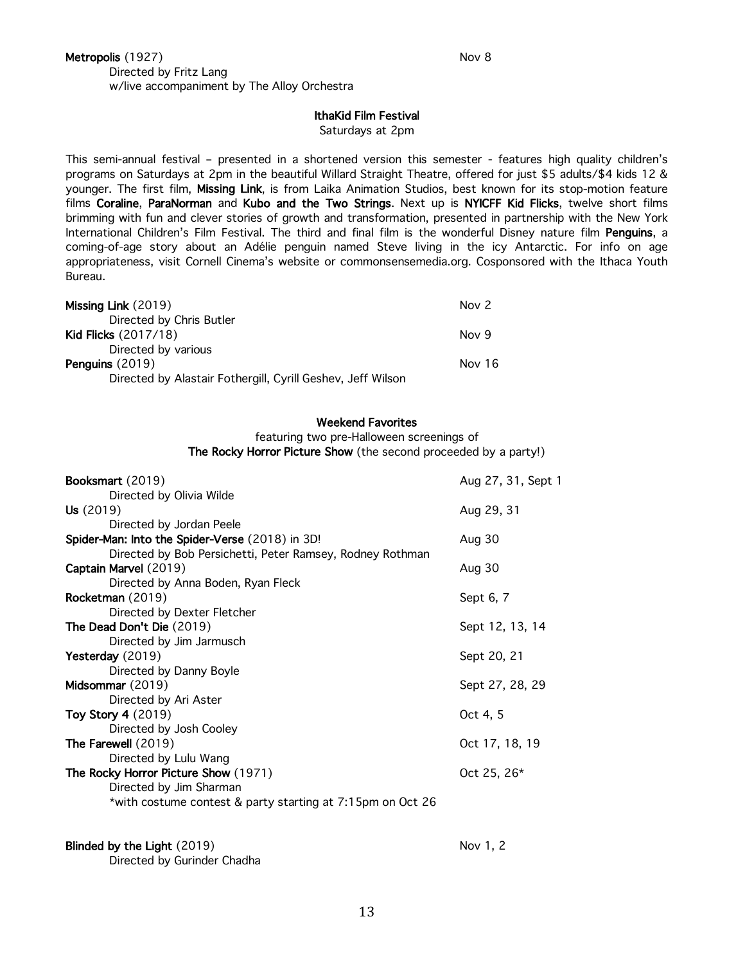Metropolis (1927) Nov 8 Directed by Fritz Lang w/live accompaniment by The Alloy Orchestra

### IthaKid Film Festival

Saturdays at 2pm

This semi-annual festival – presented in a shortened version this semester - features high quality children's programs on Saturdays at 2pm in the beautiful Willard Straight Theatre, offered for just \$5 adults/\$4 kids 12 & younger. The first film, Missing Link, is from Laika Animation Studios, best known for its stop-motion feature films Coraline, ParaNorman and Kubo and the Two Strings. Next up is NYICFF Kid Flicks, twelve short films brimming with fun and clever stories of growth and transformation, presented in partnership with the New York International Children's Film Festival. The third and final film is the wonderful Disney nature film Penguins, a coming-of-age story about an Adélie penguin named Steve living in the icy Antarctic. For info on age appropriateness, visit Cornell Cinema's website or commonsensemedia.org. Cosponsored with the Ithaca Youth Bureau.

| Missing Link $(2019)$                                       | Nov 2  |
|-------------------------------------------------------------|--------|
| Directed by Chris Butler                                    |        |
| <b>Kid Flicks</b> (2017/18)                                 | Nov 9  |
| Directed by various                                         |        |
| Penguins (2019)                                             | Nov 16 |
| Directed by Alastair Fothergill, Cyrill Geshev, Jeff Wilson |        |

### Weekend Favorites

featuring two pre-Halloween screenings of

The Rocky Horror Picture Show (the second proceeded by a party!)

| Booksmart (2019)                                           | Aug 27, 31, Sept 1 |
|------------------------------------------------------------|--------------------|
| Directed by Olivia Wilde                                   |                    |
| $Us$ (2019)                                                | Aug 29, 31         |
| Directed by Jordan Peele                                   |                    |
| Spider-Man: Into the Spider-Verse (2018) in 3D!            | Aug 30             |
| Directed by Bob Persichetti, Peter Ramsey, Rodney Rothman  |                    |
| Captain Marvel (2019)                                      | Aug 30             |
| Directed by Anna Boden, Ryan Fleck                         |                    |
| Rocketman (2019)                                           | Sept 6, 7          |
| Directed by Dexter Fletcher                                |                    |
| The Dead Don't Die (2019)                                  | Sept 12, 13, 14    |
| Directed by Jim Jarmusch                                   |                    |
| Yesterday (2019)                                           | Sept 20, 21        |
| Directed by Danny Boyle                                    |                    |
| Midsommar (2019)                                           | Sept 27, 28, 29    |
| Directed by Ari Aster                                      |                    |
| Toy Story 4 (2019)                                         | Oct 4, 5           |
| Directed by Josh Cooley                                    |                    |
| <b>The Farewell</b> (2019)                                 | Oct 17, 18, 19     |
| Directed by Lulu Wang                                      |                    |
| The Rocky Horror Picture Show (1971)                       | Oct 25, 26*        |
| Directed by Jim Sharman                                    |                    |
| *with costume contest & party starting at 7:15pm on Oct 26 |                    |
|                                                            |                    |
|                                                            |                    |

Blinded by the Light (2019) Nov 1, 2 Directed by Gurinder Chadha